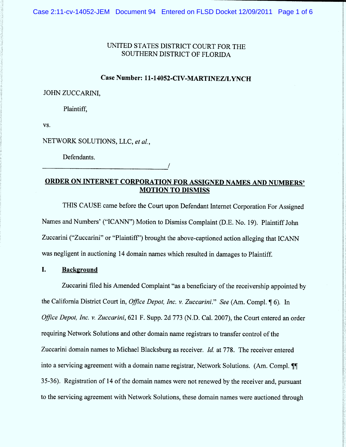# UNITED STATES DISTRICT COURT FOR THE SOUTHERN DISTRICT OF FLORIDA

# Case Number: 11-14052-CIV-MARTINEZ/LYNCH

#### **JOHN ZUCCARINI.**

Plaintiff,

VS.

NETWORK SOLUTIONS, LLC, et al.,

Defendants.

ORDER ON INTERNET CORPORATION FOR ASSIGNED NAMES AND NUMBERS' **MOTION TO DISMISS** 

THIS CAUSE came before the Court upon Defendant Internet Corporation For Assigned Names and Numbers' ("ICANN") Motion to Dismiss Complaint (D.E. No. 19). Plaintiff John Zuccarini ("Zuccarini" or "Plaintiff") brought the above-captioned action alleging that ICANN was negligent in auctioning 14 domain names which resulted in damages to Plaintiff.

#### I. **Background**

Zuccarini filed his Amended Complaint "as a beneficiary of the receivership appointed by the California District Court in, *Office Depot, Inc. v. Zuccarini.*" See (Am. Compl. 16). In Office Depot, Inc. v. Zuccarini, 621 F. Supp. 2d 773 (N.D. Cal. 2007), the Court entered an order requiring Network Solutions and other domain name registrars to transfer control of the Zuccarini domain names to Michael Blacksburg as receiver. Id. at 778. The receiver entered into a servicing agreement with a domain name registrar, Network Solutions. (Am. Compl. II 35-36). Registration of 14 of the domain names were not renewed by the receiver and, pursuant to the servicing agreement with Network Solutions, these domain names were auctioned through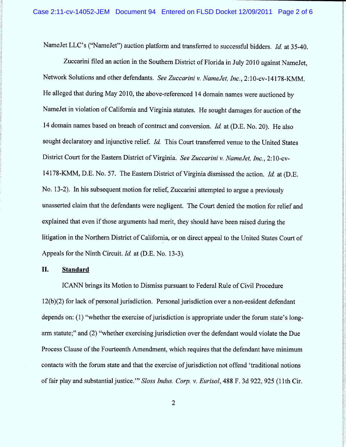NameJet LLC's ("NameJet") auction platform and transferred to successful bidders. Id. at 35-40.

Zuccarini filed an action in the Southern District of Florida in July 2010 against NameJet, Network Solutions and other defendants. See Zuccarini v. NameJet, Inc., 2:10-cv-14178-KMM. He alleged that during May 2010, the above-referenced 14 domain names were auctioned by NameJet in violation of California and Virginia statutes. He sought damages for auction of the 14 domain names based on breach of contract and conversion. *Id.* at (D.E. No. 20). He also sought declaratory and injunctive relief. Id. This Court transferred venue to the United States District Court for the Eastern District of Virginia. See Zuccarini v. Name Jet. Inc., 2:10-cv-14178-KMM, D.E. No. 57. The Eastern District of Virginia dismissed the action. Id. at (D.E. No. 13-2). In his subsequent motion for relief, Zuccarini attempted to argue a previously unasserted claim that the defendants were negligent. The Court denied the motion for relief and explained that even if those arguments had merit, they should have been raised during the litigation in the Northern District of California, or on direct appeal to the United States Court of Appeals for the Ninth Circuit. 1d. at (D.E. No. 13-3).

### II. Standard

ICANN brings its Motion to Dismiss pursuant to Federal Rule of Civil Procedure 12(b)(2) for lack of personal jurisdiction. Personal jurisdiction over a non-resident defendant depends on: (1) "whether the exercise of jurisdiction is appropriate under the forum state's longarm statute;" and (2) "whether exercising jurisdiction over the defendant would violate the Due Process Clause of the Fourteenth Amendment, which requires that the defendant have minimum contacts with the forum state and that the exercise of jurisdiction not offend 'traditional notions of fair play and substantial justice.''' Sloss Indus. Corp. v. Eurisol, 488 F. 3d 922, 925 (1 1th Cir.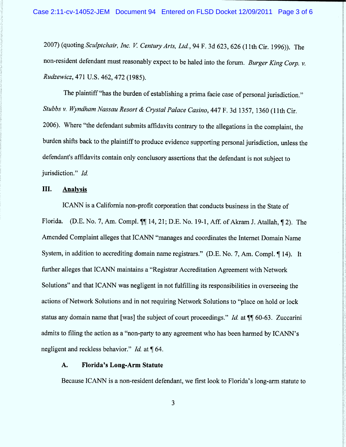2007) (quoting Sculptchair, Inc. V. Century Arts, Ltd., 94 F. 3d 623, 626 (11th Cir. 1996)). The non-resident defendant must reasonably expect to be haled into the forum. Burger King Corp. v. Rudzewicz, 471 U.S. 462, 472 (1985).

The plaintiff "has the burden of establishing a prima facie case of personal jurisdiction." Stubbs v. Wyndham Nassau Resort & Crystal Palace Casino, 447 F. 3d 1357, 1360 (11th Cir. 2006). Where "the defendant submits affidavits contrary to the allegations in the complaint, the burden shifts back to the plaintiff to produce evidence supporting personal jurisdiction, unless the defendant's affidavits contain only conclusory assertions that the defendant is not subject to jurisdiction." Id.

## 111. Analvsis

ICANN is a California non-profit corporation that conducts business in the State of Florida. (D.E. No. 7, Am. Compl.  $\P\P$  14, 21; D.E. No. 19-1, Aff. of Akram J. Atallah,  $\P$  2). The Amended Complaint alleges that ICANN "manages and coordinates the Internet Domain Name System, in addition to accrediting domain name registrars." (D.E. No. 7, Am. Compl. 14). It further alleges that ICANN maintains a "Registrar Accreditation Agreement with Network Solutions'' and that ICANN was negligent in not fulflling its responsibilities in overseeing the actions of Network Solutions and in not requiring Network Solutions to "place on hold or lock status any domain name that [was] the subject of court proceedings." Id. at  $\P$  60-63. Zuccarini admits to filing the action as a "non-party to any agreement who has been harmed by ICANN's negligent and reckless behavior." *Id.* at  $\P$  64.

# A. Florida's Long-Arm Statute

Because ICANN is a non-resident defendant, we first look to Florida's long-arm statute to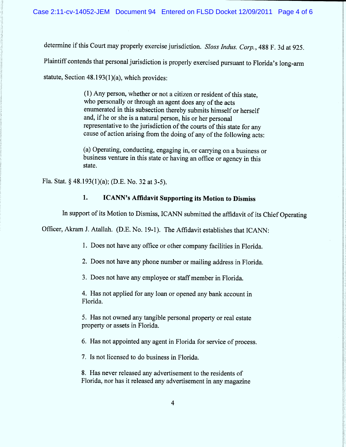determine if this Court may properly exercise jurisdiction. Sloss Indus. Corp., 488 F. 3d at 925.

Plaintiff contends that personal jurisdiction is properly exercised pursuant to Florida's long-arm

statute, Section 48.193(1)(a), which provides:

(1) Any person, whether or not a citizen or resident of this state, who personally or through an agent does any of the acts enumerated in this subsection thereby submits himself or herself and, if he or she is a natural person, his or her personal representative to the jurisdiction of the courts of this state for any cause of action arising from the doing of any of the following acts:

(a) Operating, conducting, engaging in, or canying on a business or business venture in this state or having an office or agency in this state.

Fla. Stat. § 48.193(1)(a); (D.E. No. 32 at 3-5).

#### $1.$ ICANN's Affidavit Supporting its Motion to Dismiss

In support of its Motion to Dismiss, ICANN submitted the affidavit of its Chief Operating

Officer, Akram J. Atallah. (D.E. No. 19-1). The Affidavit establishes that ICANN:

1. Does not have any office or other company facilities in Florida.

2. Does not have any phone number or mailing address in Florida.

3. Does not have any employee or staff member in Florida.

4. Has not applied for any loan or opened any bank account in Florida.

5. Has not owned any tangible personal property or real estate property or assets in Florida.

6. Has not appointed any agent in Florida for service of process.

7. ls not licensed to do business in Florida.

8. Has never released any advertisement to the residents of Florida, nor has it released any advertisement in any magazine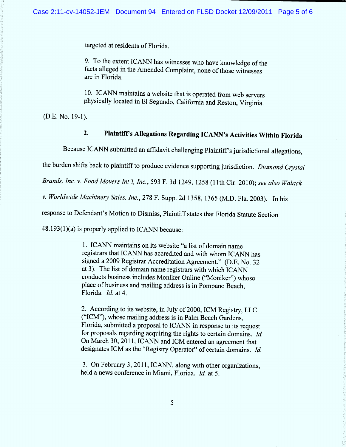targeted at residents of Florida.

9. To the extent ICANN has witnesses who have knowledge of the facts alleged in the Amended Complaint, none of those witnesses are in Florida.

10. ICANN maintains a website that is operated from web servers physically located in E1 Segundo, California and Reston, Virginia.

(D.E. No. 19-1).

# 2. Plaintiff's Allegations Regarding ICANN's Activities Within Florida

Because ICANN submitted an affidavit challenging Plaintiff s jurisdictional allegations,

the burden shifts back to plaintiff to produce evidence supporting jurisdiction. Diamond Crystal

Brands, Inc. v. Food Movers Int'l, Inc., 593 F. 3d 1249, 1258 (11th Cir. 2010); see also Walack

v. Worldwide Machinery Sales, Inc., 278 F. Supp. 2d 1358, 1365 (M.D. Fla. 2003). In his

response to Defendant's Motion to Dismiss, Plaintiff states that Florida Statute Section

48.193(1)(a) is properly applied to ICANN because:

1. ICANN maintains on its website "a list of domain name registrars that ICANN has accredited and with whom ICANN has signed a 2009 Registrar Accreditation Agreement." (D.E. No. 32 at 3). The list of domain name registrars with which ICANN conducts business includes Moniker Online ("Moniker") whose place of business and mailing address is in Pompano Beach, Florida. Id at 4.

2. According to its website, in July of 2000, ICM Registry, LLC  $("ICM")$ , whose mailing address is in Palm Beach Gardens, Florida, submitted a proposal to ICANN in response to its request for proposals regarding acquiring the rights to certain domains.  $Id$ . On March 30, 2011, ICANN and ICM entered an agreement that designates ICM as the "Registry Operator" of certain domains. Id.

3. On February 3, 2011, ICANN, along with other organizations, held a news conference in Miami, Florida. Id. at 5.